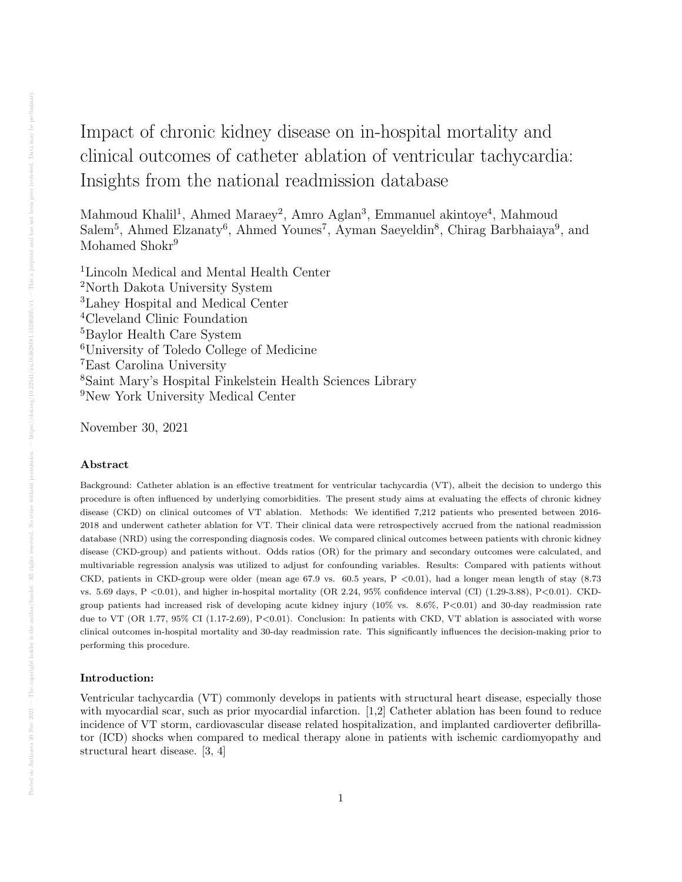# Impact of chronic kidney disease on in-hospital mortality and clinical outcomes of catheter ablation of ventricular tachycardia: Insights from the national readmission database

Mahmoud Khalil<sup>1</sup>, Ahmed Maraey<sup>2</sup>, Amro Aglan<sup>3</sup>, Emmanuel akintoye<sup>4</sup>, Mahmoud Salem<sup>5</sup>, Ahmed Elzanaty<sup>6</sup>, Ahmed Younes<sup>7</sup>, Ayman Saeyeldin<sup>8</sup>, Chirag Barbhaiaya<sup>9</sup>, and Mohamed Shokr<sup>9</sup>

Lincoln Medical and Mental Health Center North Dakota University System Lahey Hospital and Medical Center Cleveland Clinic Foundation <sup>5</sup>Baylor Health Care System University of Toledo College of Medicine East Carolina University Saint Mary's Hospital Finkelstein Health Sciences Library New York University Medical Center

November 30, 2021

## Abstract

Background: Catheter ablation is an effective treatment for ventricular tachycardia (VT), albeit the decision to undergo this procedure is often influenced by underlying comorbidities. The present study aims at evaluating the effects of chronic kidney disease (CKD) on clinical outcomes of VT ablation. Methods: We identified 7,212 patients who presented between 2016- 2018 and underwent catheter ablation for VT. Their clinical data were retrospectively accrued from the national readmission database (NRD) using the corresponding diagnosis codes. We compared clinical outcomes between patients with chronic kidney disease (CKD-group) and patients without. Odds ratios (OR) for the primary and secondary outcomes were calculated, and multivariable regression analysis was utilized to adjust for confounding variables. Results: Compared with patients without CKD, patients in CKD-group were older (mean age 67.9 vs.  $60.5$  years, P <0.01), had a longer mean length of stay (8.73) vs. 5.69 days, P <0.01), and higher in-hospital mortality (OR 2.24, 95% confidence interval (CI) (1.29-3.88), P<0.01). CKDgroup patients had increased risk of developing acute kidney injury  $(10\% \text{ vs. } 8.6\%, P<0.01)$  and 30-day readmission rate due to VT (OR 1.77, 95% CI (1.17-2.69), P<0.01). Conclusion: In patients with CKD, VT ablation is associated with worse clinical outcomes in-hospital mortality and 30-day readmission rate. This significantly influences the decision-making prior to performing this procedure.

#### Introduction:

Ventricular tachycardia (VT) commonly develops in patients with structural heart disease, especially those with myocardial scar, such as prior myocardial infarction. [1,2] Catheter ablation has been found to reduce incidence of VT storm, cardiovascular disease related hospitalization, and implanted cardioverter defibrillator (ICD) shocks when compared to medical therapy alone in patients with ischemic cardiomyopathy and structural heart disease. [3, 4]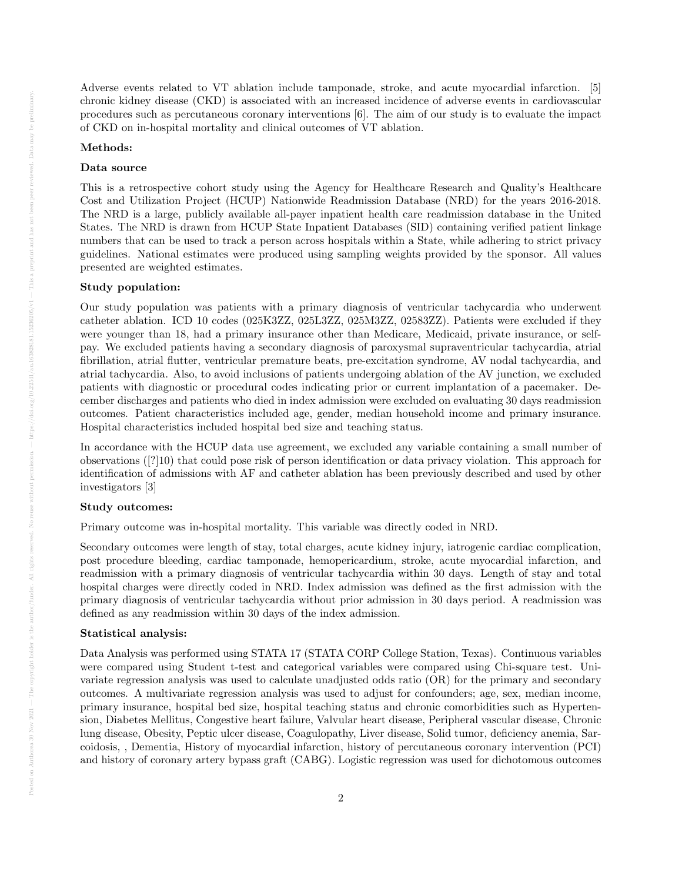Adverse events related to VT ablation include tamponade, stroke, and acute myocardial infarction. [5] chronic kidney disease (CKD) is associated with an increased incidence of adverse events in cardiovascular procedures such as percutaneous coronary interventions [6]. The aim of our study is to evaluate the impact of CKD on in-hospital mortality and clinical outcomes of VT ablation.

#### Methods:

#### Data source

This is a retrospective cohort study using the Agency for Healthcare Research and Quality's Healthcare Cost and Utilization Project (HCUP) Nationwide Readmission Database (NRD) for the years 2016-2018. The NRD is a large, publicly available all-payer inpatient health care readmission database in the United States. The NRD is drawn from HCUP State Inpatient Databases (SID) containing verified patient linkage numbers that can be used to track a person across hospitals within a State, while adhering to strict privacy guidelines. National estimates were produced using sampling weights provided by the sponsor. All values presented are weighted estimates.

#### Study population:

Our study population was patients with a primary diagnosis of ventricular tachycardia who underwent catheter ablation. ICD 10 codes (025K3ZZ, 025L3ZZ, 025M3ZZ, 02583ZZ). Patients were excluded if they were younger than 18, had a primary insurance other than Medicare, Medicaid, private insurance, or selfpay. We excluded patients having a secondary diagnosis of paroxysmal supraventricular tachycardia, atrial fibrillation, atrial flutter, ventricular premature beats, pre-excitation syndrome, AV nodal tachycardia, and atrial tachycardia. Also, to avoid inclusions of patients undergoing ablation of the AV junction, we excluded patients with diagnostic or procedural codes indicating prior or current implantation of a pacemaker. December discharges and patients who died in index admission were excluded on evaluating 30 days readmission outcomes. Patient characteristics included age, gender, median household income and primary insurance. Hospital characteristics included hospital bed size and teaching status.

In accordance with the HCUP data use agreement, we excluded any variable containing a small number of observations ([?]10) that could pose risk of person identification or data privacy violation. This approach for identification of admissions with AF and catheter ablation has been previously described and used by other investigators [3]

## Study outcomes:

Primary outcome was in-hospital mortality. This variable was directly coded in NRD.

Secondary outcomes were length of stay, total charges, acute kidney injury, iatrogenic cardiac complication, post procedure bleeding, cardiac tamponade, hemopericardium, stroke, acute myocardial infarction, and readmission with a primary diagnosis of ventricular tachycardia within 30 days. Length of stay and total hospital charges were directly coded in NRD. Index admission was defined as the first admission with the primary diagnosis of ventricular tachycardia without prior admission in 30 days period. A readmission was defined as any readmission within 30 days of the index admission.

#### Statistical analysis:

Data Analysis was performed using STATA 17 (STATA CORP College Station, Texas). Continuous variables were compared using Student t-test and categorical variables were compared using Chi-square test. Univariate regression analysis was used to calculate unadjusted odds ratio (OR) for the primary and secondary outcomes. A multivariate regression analysis was used to adjust for confounders; age, sex, median income, primary insurance, hospital bed size, hospital teaching status and chronic comorbidities such as Hypertension, Diabetes Mellitus, Congestive heart failure, Valvular heart disease, Peripheral vascular disease, Chronic lung disease, Obesity, Peptic ulcer disease, Coagulopathy, Liver disease, Solid tumor, deficiency anemia, Sarcoidosis, , Dementia, History of myocardial infarction, history of percutaneous coronary intervention (PCI) and history of coronary artery bypass graft (CABG). Logistic regression was used for dichotomous outcomes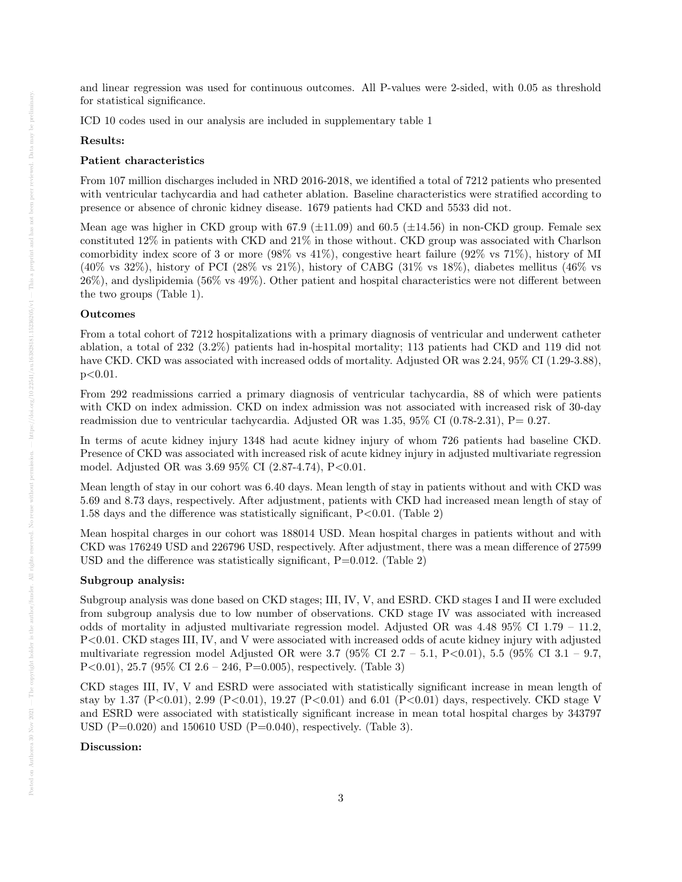and linear regression was used for continuous outcomes. All P-values were 2-sided, with 0.05 as threshold for statistical significance.

ICD 10 codes used in our analysis are included in supplementary table 1

#### Results:

#### Patient characteristics

From 107 million discharges included in NRD 2016-2018, we identified a total of 7212 patients who presented with ventricular tachycardia and had catheter ablation. Baseline characteristics were stratified according to presence or absence of chronic kidney disease. 1679 patients had CKD and 5533 did not.

Mean age was higher in CKD group with 67.9 ( $\pm$ 11.09) and 60.5 ( $\pm$ 14.56) in non-CKD group. Female sex constituted 12% in patients with CKD and 21% in those without. CKD group was associated with Charlson comorbidity index score of 3 or more (98% vs 41%), congestive heart failure (92% vs 71%), history of MI  $(40\% \text{ vs } 32\%)$ , history of PCI  $(28\% \text{ vs } 21\%)$ , history of CABG  $(31\% \text{ vs } 18\%)$ , diabetes mellitus  $(46\% \text{ vs } 18\%)$ 26%), and dyslipidemia (56% vs 49%). Other patient and hospital characteristics were not different between the two groups (Table 1).

#### Outcomes

From a total cohort of 7212 hospitalizations with a primary diagnosis of ventricular and underwent catheter ablation, a total of 232 (3.2%) patients had in-hospital mortality; 113 patients had CKD and 119 did not have CKD. CKD was associated with increased odds of mortality. Adjusted OR was 2.24, 95% CI (1.29-3.88), p<0.01.

From 292 readmissions carried a primary diagnosis of ventricular tachycardia, 88 of which were patients with CKD on index admission. CKD on index admission was not associated with increased risk of 30-day readmission due to ventricular tachycardia. Adjusted OR was 1.35, 95% CI (0.78-2.31), P= 0.27.

In terms of acute kidney injury 1348 had acute kidney injury of whom 726 patients had baseline CKD. Presence of CKD was associated with increased risk of acute kidney injury in adjusted multivariate regression model. Adjusted OR was 3.69 95% CI (2.87-4.74), P<0.01.

Mean length of stay in our cohort was 6.40 days. Mean length of stay in patients without and with CKD was 5.69 and 8.73 days, respectively. After adjustment, patients with CKD had increased mean length of stay of 1.58 days and the difference was statistically significant,  $P<0.01$ . (Table 2)

Mean hospital charges in our cohort was 188014 USD. Mean hospital charges in patients without and with CKD was 176249 USD and 226796 USD, respectively. After adjustment, there was a mean difference of 27599 USD and the difference was statistically significant,  $P=0.012$ . (Table 2)

# Subgroup analysis:

Subgroup analysis was done based on CKD stages; III, IV, V, and ESRD. CKD stages I and II were excluded from subgroup analysis due to low number of observations. CKD stage IV was associated with increased odds of mortality in adjusted multivariate regression model. Adjusted OR was 4.48 95% CI 1.79 – 11.2, P<0.01. CKD stages III, IV, and V were associated with increased odds of acute kidney injury with adjusted multivariate regression model Adjusted OR were  $3.7$  (95% CI  $2.7 - 5.1$ , P $< 0.01$ ), 5.5 (95% CI  $3.1 - 9.7$ , P<0.01), 25.7 (95% CI 2.6 – 246, P=0.005), respectively. (Table 3)

CKD stages III, IV, V and ESRD were associated with statistically significant increase in mean length of stay by 1.37 (P<0.01), 2.99 (P<0.01), 19.27 (P<0.01) and 6.01 (P<0.01) days, respectively. CKD stage V and ESRD were associated with statistically significant increase in mean total hospital charges by 343797 USD ( $P=0.020$ ) and 150610 USD ( $P=0.040$ ), respectively. (Table 3).

#### Discussion: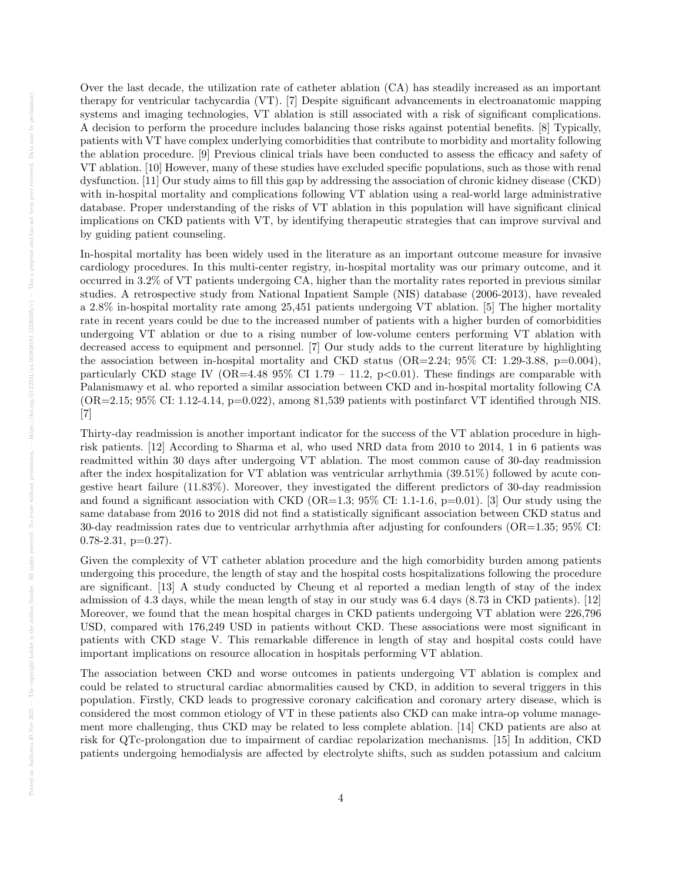Over the last decade, the utilization rate of catheter ablation (CA) has steadily increased as an important therapy for ventricular tachycardia (VT). [7] Despite significant advancements in electroanatomic mapping systems and imaging technologies, VT ablation is still associated with a risk of significant complications. A decision to perform the procedure includes balancing those risks against potential benefits. [8] Typically, patients with VT have complex underlying comorbidities that contribute to morbidity and mortality following the ablation procedure. [9] Previous clinical trials have been conducted to assess the efficacy and safety of VT ablation. [10] However, many of these studies have excluded specific populations, such as those with renal dysfunction. [11] Our study aims to fill this gap by addressing the association of chronic kidney disease (CKD) with in-hospital mortality and complications following VT ablation using a real-world large administrative database. Proper understanding of the risks of VT ablation in this population will have significant clinical implications on CKD patients with VT, by identifying therapeutic strategies that can improve survival and by guiding patient counseling.

In-hospital mortality has been widely used in the literature as an important outcome measure for invasive cardiology procedures. In this multi-center registry, in-hospital mortality was our primary outcome, and it occurred in 3.2% of VT patients undergoing CA, higher than the mortality rates reported in previous similar studies. A retrospective study from National Inpatient Sample (NIS) database (2006-2013), have revealed a 2.8% in-hospital mortality rate among 25,451 patients undergoing VT ablation. [5] The higher mortality rate in recent years could be due to the increased number of patients with a higher burden of comorbidities undergoing VT ablation or due to a rising number of low-volume centers performing VT ablation with decreased access to equipment and personnel. [7] Our study adds to the current literature by highlighting the association between in-hospital mortality and CKD status  $(OR=2.24; 95\% \text{ CI: } 1.29-3.88, \text{ p=0.004}),$ particularly CKD stage IV ( $OR=4.48$  95% CI 1.79 – 11.2, p $<0.01$ ). These findings are comparable with Palanismawy et al. who reported a similar association between CKD and in-hospital mortality following CA  $(OR=2.15; 95\% \text{ CI}: 1.12-4.14, p=0.022)$ , among 81,539 patients with postinfarct VT identified through NIS. [7]

Thirty-day readmission is another important indicator for the success of the VT ablation procedure in highrisk patients. [12] According to Sharma et al, who used NRD data from 2010 to 2014, 1 in 6 patients was readmitted within 30 days after undergoing VT ablation. The most common cause of 30-day readmission after the index hospitalization for VT ablation was ventricular arrhythmia (39.51%) followed by acute congestive heart failure (11.83%). Moreover, they investigated the different predictors of 30-day readmission and found a significant association with CKD (OR=1.3;  $95\%$  CI: 1.1-1.6, p=0.01). [3] Our study using the same database from 2016 to 2018 did not find a statistically significant association between CKD status and 30-day readmission rates due to ventricular arrhythmia after adjusting for confounders (OR=1.35; 95% CI:  $0.78-2.31$ ,  $p=0.27$ ).

Given the complexity of VT catheter ablation procedure and the high comorbidity burden among patients undergoing this procedure, the length of stay and the hospital costs hospitalizations following the procedure are significant. [13] A study conducted by Cheung et al reported a median length of stay of the index admission of 4.3 days, while the mean length of stay in our study was 6.4 days (8.73 in CKD patients). [12] Moreover, we found that the mean hospital charges in CKD patients undergoing VT ablation were 226,796 USD, compared with 176,249 USD in patients without CKD. These associations were most significant in patients with CKD stage V. This remarkable difference in length of stay and hospital costs could have important implications on resource allocation in hospitals performing VT ablation.

The association between CKD and worse outcomes in patients undergoing VT ablation is complex and could be related to structural cardiac abnormalities caused by CKD, in addition to several triggers in this population. Firstly, CKD leads to progressive coronary calcification and coronary artery disease, which is considered the most common etiology of VT in these patients also CKD can make intra-op volume management more challenging, thus CKD may be related to less complete ablation. [14] CKD patients are also at risk for QTc-prolongation due to impairment of cardiac repolarization mechanisms. [15] In addition, CKD patients undergoing hemodialysis are affected by electrolyte shifts, such as sudden potassium and calcium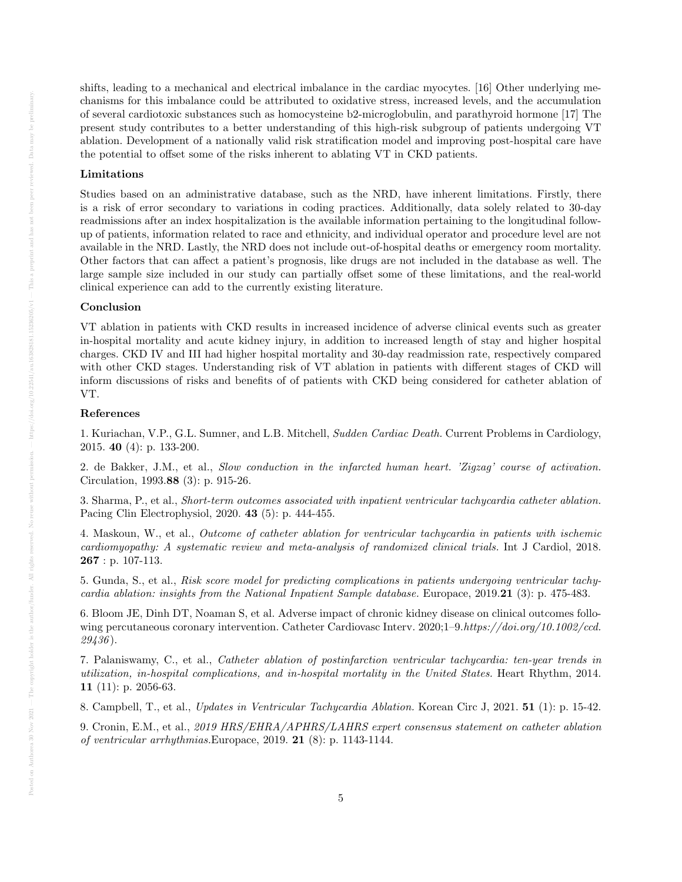shifts, leading to a mechanical and electrical imbalance in the cardiac myocytes. [16] Other underlying mechanisms for this imbalance could be attributed to oxidative stress, increased levels, and the accumulation of several cardiotoxic substances such as homocysteine b2-microglobulin, and parathyroid hormone [17] The present study contributes to a better understanding of this high-risk subgroup of patients undergoing VT ablation. Development of a nationally valid risk stratification model and improving post-hospital care have the potential to offset some of the risks inherent to ablating VT in CKD patients.

# Limitations

Studies based on an administrative database, such as the NRD, have inherent limitations. Firstly, there is a risk of error secondary to variations in coding practices. Additionally, data solely related to 30-day readmissions after an index hospitalization is the available information pertaining to the longitudinal followup of patients, information related to race and ethnicity, and individual operator and procedure level are not available in the NRD. Lastly, the NRD does not include out-of-hospital deaths or emergency room mortality. Other factors that can affect a patient's prognosis, like drugs are not included in the database as well. The large sample size included in our study can partially offset some of these limitations, and the real-world clinical experience can add to the currently existing literature.

#### Conclusion

VT ablation in patients with CKD results in increased incidence of adverse clinical events such as greater in-hospital mortality and acute kidney injury, in addition to increased length of stay and higher hospital charges. CKD IV and III had higher hospital mortality and 30-day readmission rate, respectively compared with other CKD stages. Understanding risk of VT ablation in patients with different stages of CKD will inform discussions of risks and benefits of of patients with CKD being considered for catheter ablation of VT.

#### References

1. Kuriachan, V.P., G.L. Sumner, and L.B. Mitchell, Sudden Cardiac Death. Current Problems in Cardiology, 2015. 40 (4): p. 133-200.

2. de Bakker, J.M., et al., Slow conduction in the infarcted human heart. 'Zigzag' course of activation. Circulation, 1993.88 (3): p. 915-26.

3. Sharma, P., et al., Short-term outcomes associated with inpatient ventricular tachycardia catheter ablation. Pacing Clin Electrophysiol, 2020. 43 (5): p. 444-455.

4. Maskoun, W., et al., Outcome of catheter ablation for ventricular tachycardia in patients with ischemic cardiomyopathy: A systematic review and meta-analysis of randomized clinical trials. Int J Cardiol, 2018. 267 : p. 107-113.

5. Gunda, S., et al., Risk score model for predicting complications in patients undergoing ventricular tachycardia ablation: insights from the National Inpatient Sample database. Europace, 2019.21 (3): p. 475-483.

6. Bloom JE, Dinh DT, Noaman S, et al. Adverse impact of chronic kidney disease on clinical outcomes following percutaneous coronary intervention. Catheter Cardiovasc Interv. 2020;1–9.https://doi.org/10.1002/ccd. 29436 ).

7. Palaniswamy, C., et al., Catheter ablation of postinfarction ventricular tachycardia: ten-year trends in utilization, in-hospital complications, and in-hospital mortality in the United States. Heart Rhythm, 2014. 11 (11): p. 2056-63.

8. Campbell, T., et al., Updates in Ventricular Tachycardia Ablation. Korean Circ J, 2021. 51 (1): p. 15-42.

9. Cronin, E.M., et al., 2019 HRS/EHRA/APHRS/LAHRS expert consensus statement on catheter ablation of ventricular arrhythmias.Europace, 2019. 21 (8): p. 1143-1144.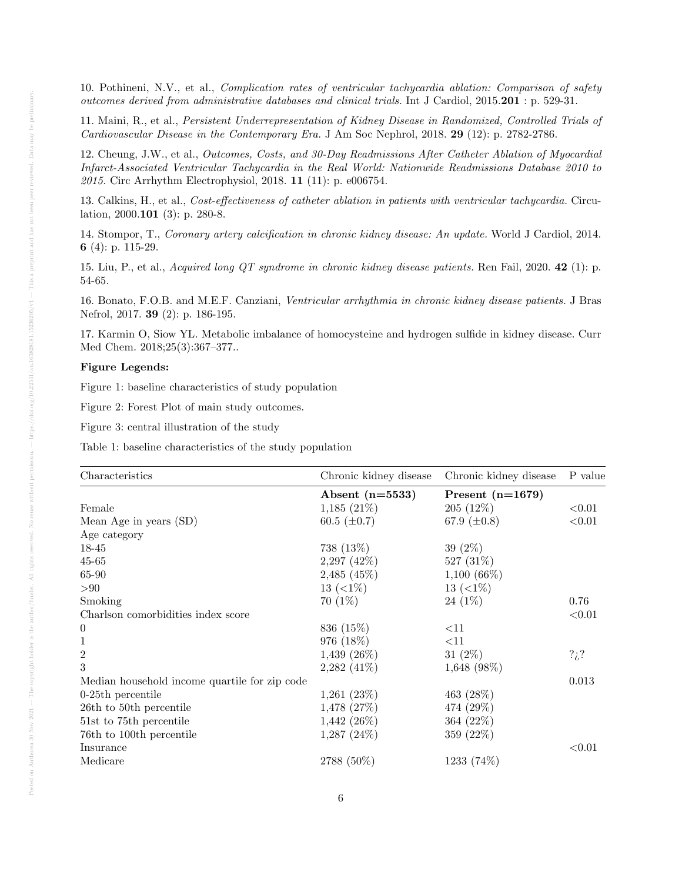10. Pothineni, N.V., et al., Complication rates of ventricular tachycardia ablation: Comparison of safety outcomes derived from administrative databases and clinical trials. Int J Cardiol, 2015.201 : p. 529-31.

11. Maini, R., et al., Persistent Underrepresentation of Kidney Disease in Randomized, Controlled Trials of Cardiovascular Disease in the Contemporary Era. J Am Soc Nephrol, 2018. 29 (12): p. 2782-2786.

12. Cheung, J.W., et al., Outcomes, Costs, and 30-Day Readmissions After Catheter Ablation of Myocardial Infarct-Associated Ventricular Tachycardia in the Real World: Nationwide Readmissions Database 2010 to 2015. Circ Arrhythm Electrophysiol, 2018. 11 (11): p. e006754.

13. Calkins, H., et al., Cost-effectiveness of catheter ablation in patients with ventricular tachycardia. Circulation, 2000.101 (3): p. 280-8.

14. Stompor, T., Coronary artery calcification in chronic kidney disease: An update. World J Cardiol, 2014. 6 (4): p. 115-29.

15. Liu, P., et al., Acquired long QT syndrome in chronic kidney disease patients. Ren Fail, 2020. 42 (1): p. 54-65.

16. Bonato, F.O.B. and M.E.F. Canziani, Ventricular arrhythmia in chronic kidney disease patients. J Bras Nefrol, 2017. 39 (2): p. 186-195.

17. Karmin O, Siow YL. Metabolic imbalance of homocysteine and hydrogen sulfide in kidney disease. Curr Med Chem. 2018;25(3):367–377..

#### Figure Legends:

Figure 1: baseline characteristics of study population

Figure 2: Forest Plot of main study outcomes.

Figure 3: central illustration of the study

Table 1: baseline characteristics of the study population

| Characteristics                               | Chronic kidney disease | Chronic kidney disease | P value       |
|-----------------------------------------------|------------------------|------------------------|---------------|
|                                               | Absent $(n=5533)$      | Present $(n=1679)$     |               |
| Female                                        | $1,185(21\%)$          | $205(12\%)$            | ${<}0.01$     |
| Mean Age in years (SD)                        | 60.5 $(\pm 0.7)$       | 67.9 $(\pm 0.8)$       | < 0.01        |
| Age category                                  |                        |                        |               |
| 18-45                                         | 738 (13%)              | $39(2\%)$              |               |
| $45 - 65$                                     | $2,297$ $(42\%)$       | 527 (31%)              |               |
| 65-90                                         | $2,485$ $(45\%)$       | $1,100(66\%)$          |               |
| > 90                                          | 13 $(<1\%)$            | 13 $(<1\%)$            |               |
| Smoking                                       | $70(1\%)$              | $24(1\%)$              | 0.76          |
| Charlson comorbidities index score            |                        |                        | < 0.01        |
| $\boldsymbol{0}$                              | 836 (15%)              | <11                    |               |
| 1                                             | 976 (18%)              | <11                    |               |
| $\mathbf{2}$                                  | $1,439$ $(26\%)$       | 31 $(2\%)$             | $?_{\iota}$ ? |
| 3                                             | $2,282$ $(41\%)$       | $1,648$ (98%)          |               |
| Median household income quartile for zip code |                        |                        | 0.013         |
| $0-25$ th percentile                          | 1,261(23%)             | 463 (28%)              |               |
| 26th to 50th percentile                       | $1,478$ $(27\%)$       | 474 (29%)              |               |
| 51st to 75th percentile                       | $1,442$ (26%)          | 364 (22\%)             |               |
| 76th to 100th percentile                      | $1,287$ $(24\%)$       | 359 (22%)              |               |
| Insurance                                     |                        |                        | < 0.01        |
| Medicare                                      | 2788 (50%)             | 1233 (74%)             |               |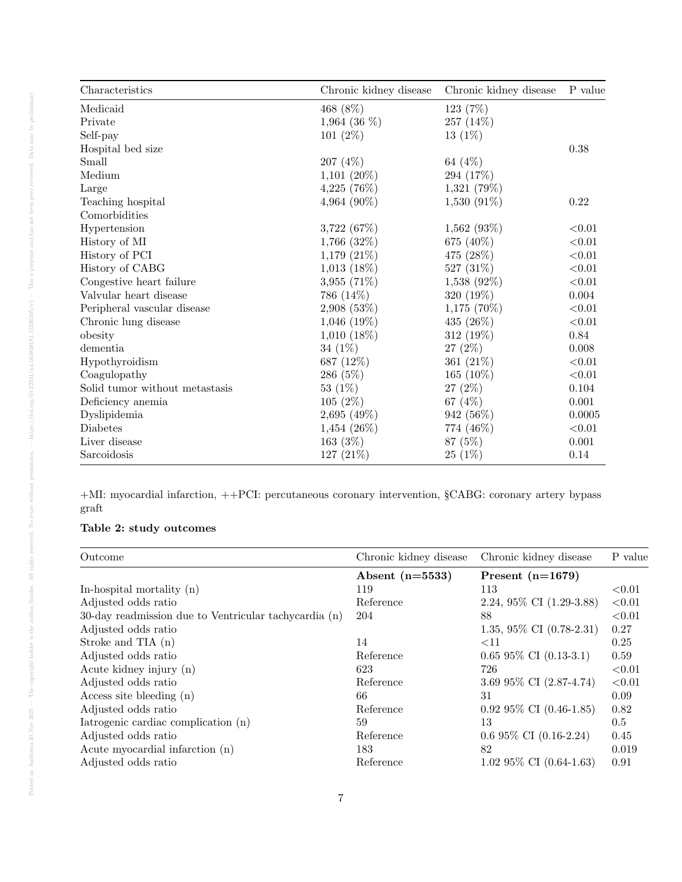| Characteristics                | Chronic kidney disease | Chronic kidney disease | P value     |
|--------------------------------|------------------------|------------------------|-------------|
| Medicaid                       | 468 (8%)               | 123 (7%)               |             |
| Private                        | 1,964 (36 $%$ )        | 257 (14%)              |             |
| Self-pay                       | 101 $(2\%)$            | $13(1\%)$              |             |
| Hospital bed size              |                        |                        | 0.38        |
| Small                          | 207 (4%)               | 64 (4%)                |             |
| Medium                         | $1,101(20\%)$          | 294 (17%)              |             |
| Large                          | $4,225$ (76%)          | 1,321 (79%)            |             |
| Teaching hospital              | 4,964 (90%)            | $1,530(91\%)$          | 0.22        |
| Comorbidities                  |                        |                        |             |
| Hypertension                   | 3,722(67%)             | $1,562$ (93%)          | < 0.01      |
| History of MI                  | $1,766$ $(32\%)$       | 675 (40%)              | < 0.01      |
| History of PCI                 | $1,179(21\%)$          | 475 (28%)              | $<\!\!0.01$ |
| History of CABG                | $1,013$ $(18\%)$       | 527 (31%)              | < 0.01      |
| Congestive heart failure       | $3,955(71\%)$          | $1,538$ (92%)          | < 0.01      |
| Valvular heart disease         | 786 (14%)              | 320 (19%)              | 0.004       |
| Peripheral vascular disease    | 2,908(53%)             | $1,175(70\%)$          | < 0.01      |
| Chronic lung disease           | $1,046$ (19%)          | 435 (26%)              | < 0.01      |
| obesity                        | $1,010(18\%)$          | 312 (19%)              | 0.84        |
| $d$ ementia                    | $34(1\%)$              | $27(2\%)$              | $0.008\,$   |
| Hypothyroidism                 | 687 (12%)              | 361 $(21\%)$           | < 0.01      |
| Coagulopathy                   | 286 (5%)               | 165 $(10\%)$           | < 0.01      |
| Solid tumor without metastasis | 53 $(1%)$              | $27(2\%)$              | 0.104       |
| Deficiency anemia              | 105(2%)                | 67 (4%)                | $0.001\,$   |
| Dyslipidemia                   | 2,695(49%)             | 942 (56%)              | 0.0005      |
| Diabetes                       | $1,454$ (26%)          | 774 (46%)              | < 0.01      |
| Liver disease                  | 163 $(3%)$             | 87 (5%)                | 0.001       |
| Sarcoidosis                    | 127 (21%)              | $25(1\%)$              | 0.14        |

+MI: myocardial infarction, ++PCI: percutaneous coronary intervention, §CABG: coronary artery bypass graft

# Table 2: study outcomes

| Outcome                                               | Chronic kidney disease | Chronic kidney disease      | P value   |
|-------------------------------------------------------|------------------------|-----------------------------|-----------|
|                                                       | Absent $(n=5533)$      | Present $(n=1679)$          |           |
| In-hospital mortality (n)                             | 119                    | 113                         | ${<}0.01$ |
| Adjusted odds ratio                                   | Reference              | 2.24, 95\% CI $(1.29-3.88)$ | < 0.01    |
| 30-day readmission due to Ventricular tachycardia (n) | 204                    | 88                          | < 0.01    |
| Adjusted odds ratio                                   |                        | 1.35, 95\% CI $(0.78-2.31)$ | 0.27      |
| Stroke and TIA $(n)$                                  | 14                     | <11                         | 0.25      |
| Adjusted odds ratio                                   | Reference              | $0.6595\%$ CI $(0.13-3.1)$  | 0.59      |
| Acute kidney injury (n)                               | 623                    | 726                         | < 0.01    |
| Adjusted odds ratio                                   | Reference              | 3.69 95% CI (2.87-4.74)     | < 0.01    |
| Access site bleeding $(n)$                            | 66                     | 31                          | 0.09      |
| Adjusted odds ratio                                   | Reference              | $0.9295\%$ CI $(0.46-1.85)$ | 0.82      |
| Iatrogenic cardiac complication (n)                   | 59                     | 13                          | 0.5       |
| Adjusted odds ratio                                   | Reference              | $0.695\%$ CI $(0.16-2.24)$  | 0.45      |
| Acute myocardial infarction (n)                       | 183                    | 82                          | 0.019     |
| Adjusted odds ratio                                   | Reference              | $1.0295\%$ CI $(0.64-1.63)$ | 0.91      |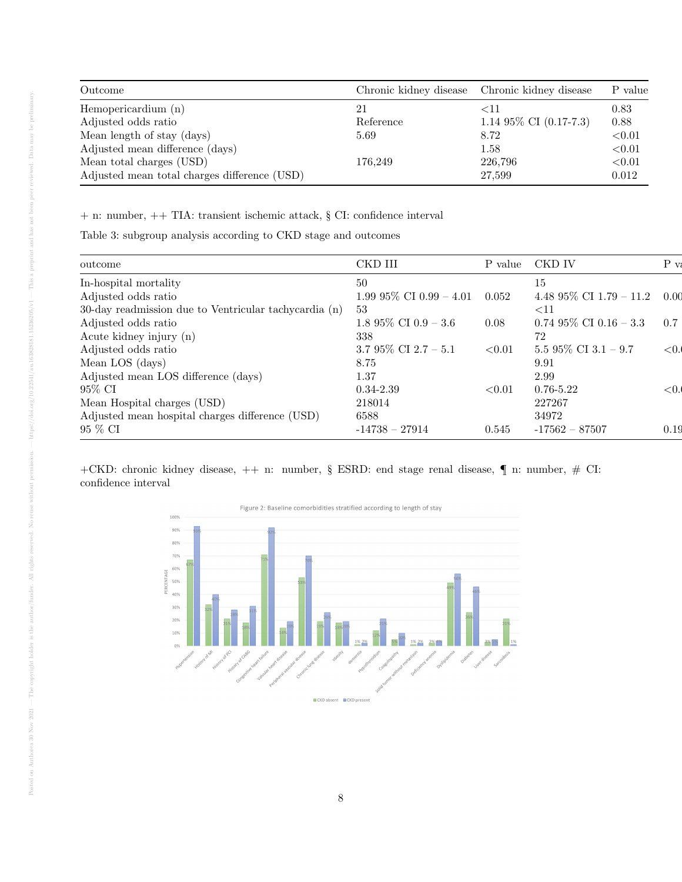| Outcome                                      | Chronic kidney disease Chronic kidney disease |                           | P value   |
|----------------------------------------------|-----------------------------------------------|---------------------------|-----------|
| Hemopericardium (n)                          | 21                                            | ${<}11$                   | 0.83      |
| Adjusted odds ratio                          | Reference                                     | 1.14 $95\%$ CI (0.17-7.3) | 0.88      |
| Mean length of stay (days)                   | 5.69                                          | 8.72                      | ${<}0.01$ |
| Adjusted mean difference (days)              |                                               | 1.58                      | ${<}0.01$ |
| Mean total charges (USD)                     | 176.249                                       | 226,796                   | ${<}0.01$ |
| Adjusted mean total charges difference (USD) |                                               | 27,599                    | 0.012     |

+ n: number, ++ TIA: transient ischemic attack, § CI: confidence interval

Table 3: subgroup analysis according to CKD stage and outcomes

| outcome                                               | CKD III                    | P value | CKD IV                     | $P_{V}$ |
|-------------------------------------------------------|----------------------------|---------|----------------------------|---------|
| In-hospital mortality                                 | 50                         |         | 15                         |         |
| Adjusted odds ratio                                   | 1.99 $95\%$ CI 0.99 - 4.01 | 0.052   | 4.48 95% CI 1.79 – 11.2    | - 0.00  |
| 30-day readmission due to Ventricular tachycardia (n) | -53                        |         | $<$ 11                     |         |
| Adjusted odds ratio                                   | 1.8 95% CI 0.9 – 3.6       | 0.08    | $0.7495\%$ CI $0.16 - 3.3$ | 0.7     |
| Acute kidney injury (n)                               | 338                        |         | 72                         |         |
| Adjusted odds ratio                                   | 3.7 95% CI 2.7 - 5.1       | < 0.01  | 5.5 95% CI 3.1 – 9.7       | < 0.    |
| Mean LOS (days)                                       | 8.75                       |         | 9.91                       |         |
| Adjusted mean LOS difference (days)                   | 1.37                       |         | 2.99                       |         |
| 95% CI                                                | $0.34 - 2.39$              | < 0.01  | $0.76 - 5.22$              | < 0.    |
| Mean Hospital charges (USD)                           | 218014                     |         | 227267                     |         |
| Adjusted mean hospital charges difference (USD)       | 6588                       |         | 34972                      |         |
| 95 % CI                                               | $-14738 - 27914$           | 0.545   | $-17562 - 87507$           | 0.19    |

+CKD: chronic kidney disease, ++ n: number, § ESRD: end stage renal disease,  $\P$ n: number, # CI: confidence interval